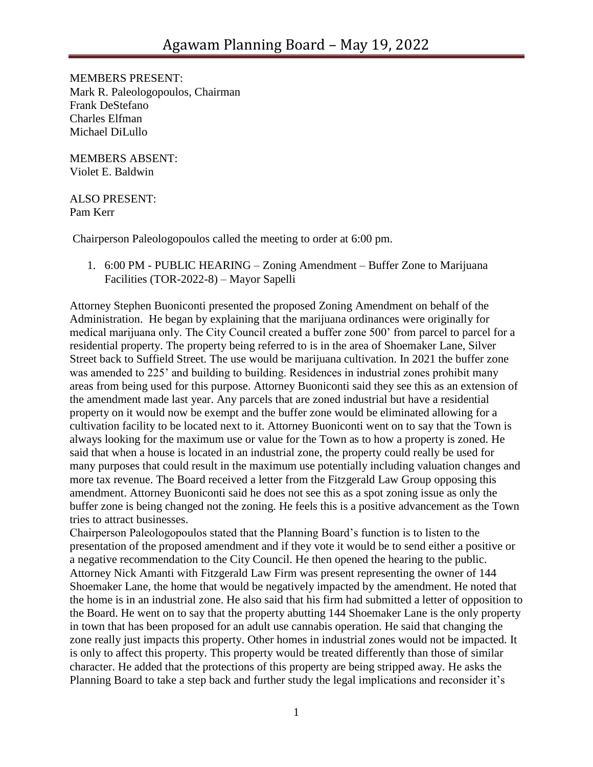MEMBERS PRESENT: Mark R. Paleologopoulos, Chairman Frank DeStefano Charles Elfman Michael DiLullo

MEMBERS ABSENT: Violet E. Baldwin

## ALSO PRESENT: Pam Kerr

Chairperson Paleologopoulos called the meeting to order at 6:00 pm.

1. 6:00 PM - PUBLIC HEARING – Zoning Amendment – Buffer Zone to Marijuana Facilities (TOR-2022-8) – Mayor Sapelli

Attorney Stephen Buoniconti presented the proposed Zoning Amendment on behalf of the Administration. He began by explaining that the marijuana ordinances were originally for medical marijuana only. The City Council created a buffer zone 500' from parcel to parcel for a residential property. The property being referred to is in the area of Shoemaker Lane, Silver Street back to Suffield Street. The use would be marijuana cultivation. In 2021 the buffer zone was amended to 225' and building to building. Residences in industrial zones prohibit many areas from being used for this purpose. Attorney Buoniconti said they see this as an extension of the amendment made last year. Any parcels that are zoned industrial but have a residential property on it would now be exempt and the buffer zone would be eliminated allowing for a cultivation facility to be located next to it. Attorney Buoniconti went on to say that the Town is always looking for the maximum use or value for the Town as to how a property is zoned. He said that when a house is located in an industrial zone, the property could really be used for many purposes that could result in the maximum use potentially including valuation changes and more tax revenue. The Board received a letter from the Fitzgerald Law Group opposing this amendment. Attorney Buoniconti said he does not see this as a spot zoning issue as only the buffer zone is being changed not the zoning. He feels this is a positive advancement as the Town tries to attract businesses.

Chairperson Paleologopoulos stated that the Planning Board's function is to listen to the presentation of the proposed amendment and if they vote it would be to send either a positive or a negative recommendation to the City Council. He then opened the hearing to the public. Attorney Nick Amanti with Fitzgerald Law Firm was present representing the owner of 144 Shoemaker Lane, the home that would be negatively impacted by the amendment. He noted that the home is in an industrial zone. He also said that his firm had submitted a letter of opposition to the Board. He went on to say that the property abutting 144 Shoemaker Lane is the only property in town that has been proposed for an adult use cannabis operation. He said that changing the zone really just impacts this property. Other homes in industrial zones would not be impacted. It is only to affect this property. This property would be treated differently than those of similar character. He added that the protections of this property are being stripped away. He asks the Planning Board to take a step back and further study the legal implications and reconsider it's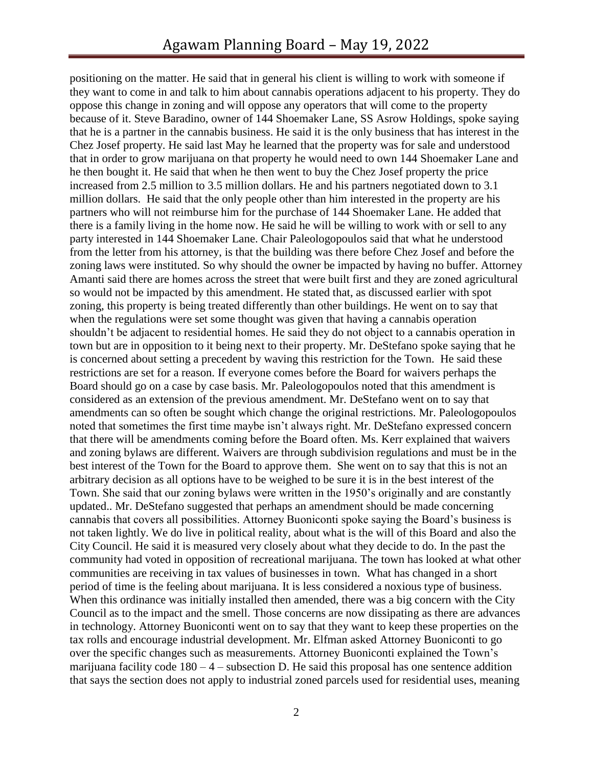positioning on the matter. He said that in general his client is willing to work with someone if they want to come in and talk to him about cannabis operations adjacent to his property. They do oppose this change in zoning and will oppose any operators that will come to the property because of it. Steve Baradino, owner of 144 Shoemaker Lane, SS Asrow Holdings, spoke saying that he is a partner in the cannabis business. He said it is the only business that has interest in the Chez Josef property. He said last May he learned that the property was for sale and understood that in order to grow marijuana on that property he would need to own 144 Shoemaker Lane and he then bought it. He said that when he then went to buy the Chez Josef property the price increased from 2.5 million to 3.5 million dollars. He and his partners negotiated down to 3.1 million dollars. He said that the only people other than him interested in the property are his partners who will not reimburse him for the purchase of 144 Shoemaker Lane. He added that there is a family living in the home now. He said he will be willing to work with or sell to any party interested in 144 Shoemaker Lane. Chair Paleologopoulos said that what he understood from the letter from his attorney, is that the building was there before Chez Josef and before the zoning laws were instituted. So why should the owner be impacted by having no buffer. Attorney Amanti said there are homes across the street that were built first and they are zoned agricultural so would not be impacted by this amendment. He stated that, as discussed earlier with spot zoning, this property is being treated differently than other buildings. He went on to say that when the regulations were set some thought was given that having a cannabis operation shouldn't be adjacent to residential homes. He said they do not object to a cannabis operation in town but are in opposition to it being next to their property. Mr. DeStefano spoke saying that he is concerned about setting a precedent by waving this restriction for the Town. He said these restrictions are set for a reason. If everyone comes before the Board for waivers perhaps the Board should go on a case by case basis. Mr. Paleologopoulos noted that this amendment is considered as an extension of the previous amendment. Mr. DeStefano went on to say that amendments can so often be sought which change the original restrictions. Mr. Paleologopoulos noted that sometimes the first time maybe isn't always right. Mr. DeStefano expressed concern that there will be amendments coming before the Board often. Ms. Kerr explained that waivers and zoning bylaws are different. Waivers are through subdivision regulations and must be in the best interest of the Town for the Board to approve them. She went on to say that this is not an arbitrary decision as all options have to be weighed to be sure it is in the best interest of the Town. She said that our zoning bylaws were written in the 1950's originally and are constantly updated.. Mr. DeStefano suggested that perhaps an amendment should be made concerning cannabis that covers all possibilities. Attorney Buoniconti spoke saying the Board's business is not taken lightly. We do live in political reality, about what is the will of this Board and also the City Council. He said it is measured very closely about what they decide to do. In the past the community had voted in opposition of recreational marijuana. The town has looked at what other communities are receiving in tax values of businesses in town. What has changed in a short period of time is the feeling about marijuana. It is less considered a noxious type of business. When this ordinance was initially installed then amended, there was a big concern with the City Council as to the impact and the smell. Those concerns are now dissipating as there are advances in technology. Attorney Buoniconti went on to say that they want to keep these properties on the tax rolls and encourage industrial development. Mr. Elfman asked Attorney Buoniconti to go over the specific changes such as measurements. Attorney Buoniconti explained the Town's marijuana facility code  $180 - 4$  – subsection D. He said this proposal has one sentence addition that says the section does not apply to industrial zoned parcels used for residential uses, meaning